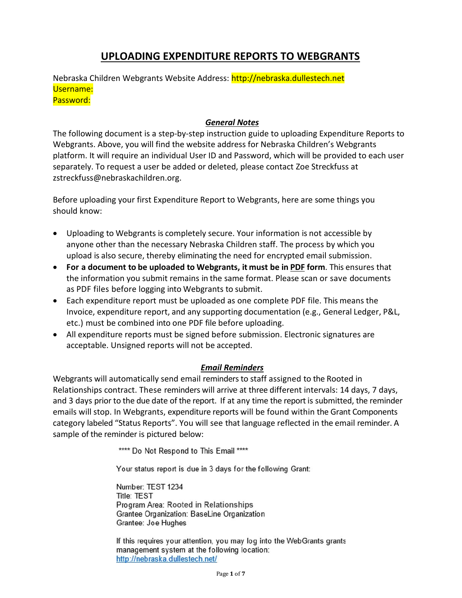# **UPLOADING EXPENDITURE REPORTS TO WEBGRANTS**

Nebraska Children Webgrants Website Address: [http://nebraska.dullestech.net](http://nebraska.dullestech.net/) Username: Password:

#### *General Notes*

The following document is a step-by-step instruction guide to uploading Expenditure Reports to Webgrants. Above, you will find the website address for Nebraska Children's Webgrants platform. It will require an individual User ID and Password, which will be provided to each user separately. To request a user be added or deleted, please contact Zoe Streckfuss at zstreckfuss@nebraskachildren.org.

Before uploading your first Expenditure Report to Webgrants, here are some things you should know:

- Uploading to Webgrants is completely secure. Your information is not accessible by anyone other than the necessary Nebraska Children staff. The process by which you upload is also secure, thereby eliminating the need for encrypted email submission.
- **For a document to be uploaded to Webgrants, it must be in PDF form**. This ensures that the information you submit remains in the same format. Please scan or save documents as PDF files before logging into Webgrants to submit.
- Each expenditure report must be uploaded as one complete PDF file. This means the Invoice, expenditure report, and any supporting documentation (e.g., General Ledger, P&L, etc.) must be combined into one PDF file before uploading.
- All expenditure reports must be signed before submission. Electronic signatures are acceptable. Unsigned reports will not be accepted.

#### *Email Reminders*

Webgrants will automatically send email reminders to staff assigned to the Rooted in Relationships contract. These reminders will arrive at three different intervals: 14 days, 7 days, and 3 days prior to the due date of the report. If at any time the report is submitted, the reminder emails will stop. In Webgrants, expenditure reports will be found within the Grant Components category labeled "Status Reports". You will see that language reflected in the email reminder. A sample of the reminder is pictured below:

\*\*\*\* Do Not Respond to This Email \*\*\*\*

Your status report is due in 3 days for the following Grant:

Number: TEST 1234 **Title: TEST** Program Area: Rooted in Relationships Grantee Organization: BaseLine Organization Grantee: Joe Hughes

If this requires your attention, you may log into the WebGrants grants management system at the following location: http://nebraska.dullestech.net/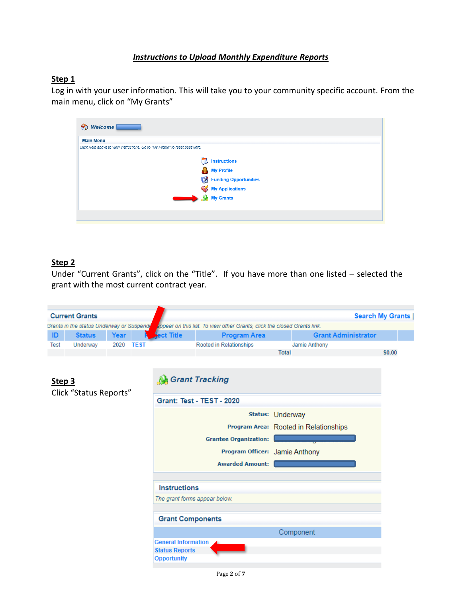#### *Instructions to Upload Monthly Expenditure Reports*

#### **Step 1**

Log in with your user information. This will take you to your community specific account. From the main menu, click on "My Grants"

| <b>Main Menu</b>                                                             |                                                                                                                                                                                                                                       |
|------------------------------------------------------------------------------|---------------------------------------------------------------------------------------------------------------------------------------------------------------------------------------------------------------------------------------|
| Click Help above to view instructions. Go to "My Profile" to reset password. |                                                                                                                                                                                                                                       |
|                                                                              | <b>Instructions</b><br>My Profile<br>Funding Opportunities<br><b>Solution</b><br><b>Solution</b><br><b>Solution</b><br><b>Solution</b><br><b>Solution</b><br><b>Solution</b><br><b>Solution</b><br><b>Solution</b><br><b>Solution</b> |

### **Step 2**

Under "Current Grants", click on the "Title". If you have more than one listed – selected the grant with the most current contract year.

|        | <b>Current Grants</b>                     |           |                                       |                                                                          |              |                            | <b>Search My Grants  </b> |
|--------|-------------------------------------------|-----------|---------------------------------------|--------------------------------------------------------------------------|--------------|----------------------------|---------------------------|
|        | Grants in the status Underway or Suspende |           |                                       | appear on this list. To view other Grants, click the closed Grants link. |              |                            |                           |
| ID     | <b>Status</b>                             | Year      | ect Title                             | <b>Program Area</b>                                                      |              | <b>Grant Administrator</b> |                           |
| Test   | Underway                                  | 2020 TEST |                                       | Rooted in Relationships                                                  |              | Jamie Anthony              |                           |
|        |                                           |           |                                       |                                                                          | <b>Total</b> |                            | \$0.00                    |
|        |                                           |           |                                       |                                                                          |              |                            |                           |
|        |                                           |           |                                       |                                                                          |              |                            |                           |
| Step 3 |                                           |           | <b>Grant Tracking</b>                 |                                                                          |              |                            |                           |
|        | Click "Status Reports"                    |           |                                       |                                                                          |              |                            |                           |
|        |                                           |           |                                       | Grant: Test - TEST - 2020                                                |              |                            |                           |
|        |                                           |           |                                       | Status: Underway                                                         |              |                            |                           |
|        |                                           |           |                                       |                                                                          |              |                            |                           |
|        |                                           |           | Program Area: Rooted in Relationships |                                                                          |              |                            |                           |
|        |                                           |           | <b>Grantee Organization:</b>          |                                                                          |              |                            |                           |
|        |                                           |           |                                       | Program Officer: Jamie Anthony                                           |              |                            |                           |
|        |                                           |           |                                       | <b>Awarded Amount:</b>                                                   |              |                            |                           |
|        |                                           |           |                                       |                                                                          |              |                            |                           |
|        |                                           |           | <b>Instructions</b>                   |                                                                          |              |                            |                           |
|        |                                           |           | The grant forms appear below.         |                                                                          |              |                            |                           |
|        |                                           |           |                                       |                                                                          |              |                            |                           |
|        |                                           |           | <b>Grant Components</b>               |                                                                          |              |                            |                           |
|        |                                           |           |                                       |                                                                          |              | Component                  |                           |
|        |                                           |           | <b>General Information</b>            |                                                                          |              |                            |                           |
|        |                                           |           | <b>Status Reports</b>                 |                                                                          |              |                            |                           |
|        |                                           |           | <b>Opportunity</b>                    |                                                                          |              |                            |                           |
|        |                                           |           |                                       |                                                                          |              |                            |                           |

Page **2** of **7**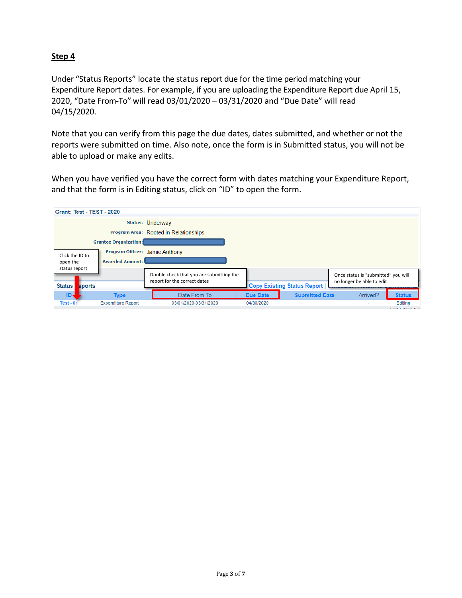Under "Status Reports" locate the status report due for the time period matching your Expenditure Report dates. For example, if you are uploading the Expenditure Report due April 15, 2020, "Date From-To" will read 03/01/2020 – 03/31/2020 and "Due Date" will read 04/15/2020.

Note that you can verify from this page the due dates, dates submitted, and whether or not the reports were submitted on time. Also note, once the form is in Submitted status, you will not be able to upload or make any edits.

When you have verified you have the correct form with dates matching your Expenditure Report, and that the form is in Editing status, click on "ID" to open the form.

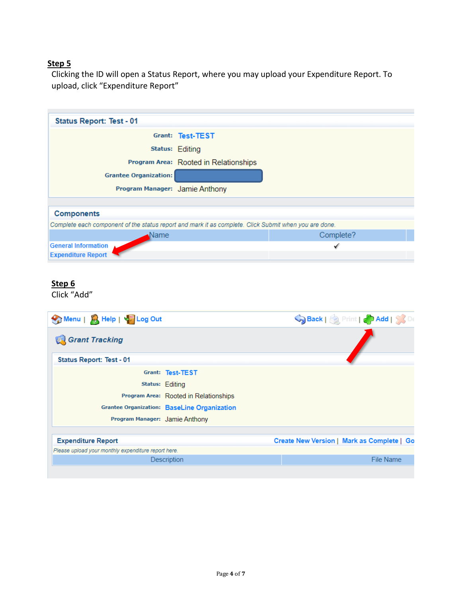Clicking the ID will open a Status Report, where you may upload your Expenditure Report. To upload, click "Expenditure Report"

| <b>Status Report: Test - 01</b>                                                                       |                                       |           |
|-------------------------------------------------------------------------------------------------------|---------------------------------------|-----------|
|                                                                                                       | Grant: Test-TEST                      |           |
|                                                                                                       | <b>Status: Editing</b>                |           |
|                                                                                                       | Program Area: Rooted in Relationships |           |
| <b>Grantee Organization:</b>                                                                          |                                       |           |
| Program Manager: Jamie Anthony                                                                        |                                       |           |
|                                                                                                       |                                       |           |
| <b>Components</b>                                                                                     |                                       |           |
| Complete each component of the status report and mark it as complete. Click Submit when you are done. |                                       |           |
| Name                                                                                                  |                                       | Complete? |
| <b>General Information</b>                                                                            |                                       |           |
| <b>Expenditure Report</b>                                                                             |                                       |           |

#### **Step 6**

Click "Add"

| Menu   A Help   4 Log Out                           |                                                    |  | Back   Reference   Add   SS De             |
|-----------------------------------------------------|----------------------------------------------------|--|--------------------------------------------|
| Grant Tracking                                      |                                                    |  |                                            |
| <b>Status Report: Test - 01</b>                     |                                                    |  |                                            |
|                                                     | Grant: Test-TEST                                   |  |                                            |
|                                                     | Status: Editing                                    |  |                                            |
|                                                     | Program Area: Rooted in Relationships              |  |                                            |
|                                                     | <b>Grantee Organization: BaseLine Organization</b> |  |                                            |
| Program Manager: Jamie Anthony                      |                                                    |  |                                            |
| <b>Expenditure Report</b>                           |                                                    |  | Create New Version   Mark as Complete   Go |
| Please upload your monthly expenditure report here. |                                                    |  |                                            |
|                                                     | <b>Description</b>                                 |  | File Name                                  |
|                                                     |                                                    |  |                                            |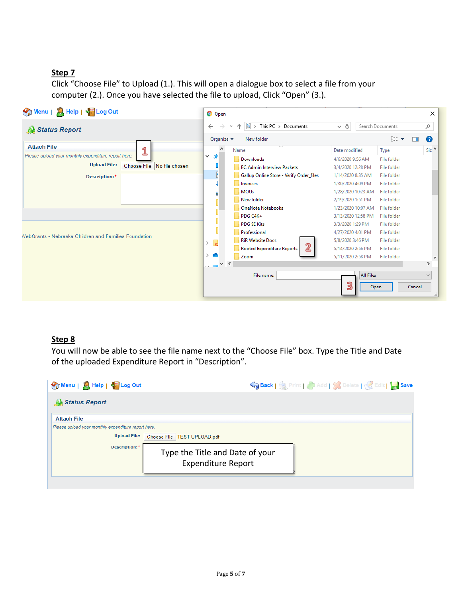Click "Choose File" to Upload (1.). This will open a dialogue box to select a file from your computer (2.). Once you have selected the file to upload, Click "Open" (3.).

| Menu   A Help   4 Log Out                                    | <b>O</b> Open                            |          |                                              |                                          |           |                                   |        | $\times$                           |
|--------------------------------------------------------------|------------------------------------------|----------|----------------------------------------------|------------------------------------------|-----------|-----------------------------------|--------|------------------------------------|
| Status Report                                                | $\leftarrow$                             |          | $\frac{1}{2}$ > This PC > Documents          | $\sim$ 0                                 |           | Search Documents                  |        | مر                                 |
|                                                              | Organize $\blacktriangledown$            |          | New folder                                   |                                          |           | 距 ▼                               | $\Box$ | Q                                  |
| <b>Attach File</b><br>1                                      |                                          | Name     | $\overline{\phantom{a}}$                     | Date modified                            |           | Type                              |        | $Siz$ <sup><math>\sim</math></sup> |
| Please upload your monthly expenditure report here.          | 寿<br>$\checkmark$                        |          | Downloads                                    | 4/6/2020 9:56 AM                         |           | <b>File folder</b>                |        |                                    |
| <b>Upload File:</b><br>Choose File   No file chosen          |                                          |          | <b>EC Admin Interview Packets</b>            | 3/4/2020 12:28 PM                        |           | File folder                       |        |                                    |
| Description:*                                                | H                                        |          | Gallup Online Store - Verify Order files     | 1/14/2020 8:35 AM                        |           | File folder                       |        |                                    |
|                                                              |                                          | Invoices |                                              | 1/30/2020 4:09 PM                        |           | File folder                       |        |                                    |
|                                                              | F                                        | MOUs     |                                              | 1/28/2020 10:23 AM                       |           | File folder                       |        |                                    |
|                                                              |                                          |          | New folder                                   | 2/19/2020 1:51 PM                        |           | File folder                       |        |                                    |
|                                                              |                                          |          | <b>OneNote Notebooks</b><br>PDG C4K+         | 1/23/2020 10:07 AM<br>3/13/2020 12:58 PM |           | <b>File folder</b><br>File folder |        |                                    |
|                                                              |                                          |          | <b>PDG SE Kits</b>                           | 3/3/2020 1:29 PM                         |           | File folder                       |        |                                    |
|                                                              |                                          |          | Professional                                 | 4/27/2020 4:01 PM                        |           | <b>File folder</b>                |        |                                    |
| <b>NebGrants - Nebraska Children and Families Foundation</b> | $\overline{\mathbf{e}}$<br>$\rightarrow$ |          | <b>RiR Website Docs</b>                      | 5/8/2020 3:46 PM                         |           | File folder                       |        |                                    |
|                                                              |                                          |          | $\overline{2}$<br>Rooted Expenditure Reports | 5/14/2020 2:56 PM                        |           | File folder                       |        |                                    |
|                                                              |                                          | Zoom     |                                              | 5/11/2020 2:58 PM                        |           | File folder                       |        | M                                  |
|                                                              | $\sim$ $\sim$ $\sim$ $\sim$              |          |                                              |                                          |           |                                   |        | $\rightarrow$                      |
|                                                              |                                          |          | File name:                                   |                                          | All Files |                                   |        | $\checkmark$                       |
|                                                              |                                          |          |                                              | ලු                                       | Open      |                                   | Cancel |                                    |

#### **Step 8**

You will now be able to see the file name next to the "Choose File" box. Type the Title and Date of the uploaded Expenditure Report in "Description".

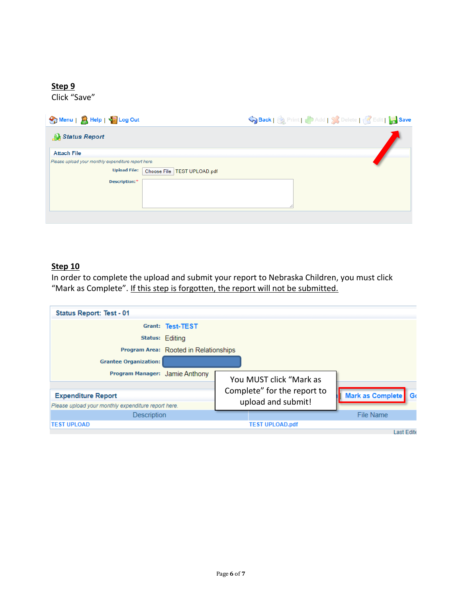Click "Save"

| Menu   R Help   4 <sup>59</sup> Log Out                                                                                      | Save Speck   Strint   Save   String   Save |
|------------------------------------------------------------------------------------------------------------------------------|--------------------------------------------|
| Status Report                                                                                                                |                                            |
| <b>Attach File</b>                                                                                                           |                                            |
| Please upload your monthly expenditure report here.<br><b>Upload File:</b><br>Choose File   TEST UPLOAD.pdf<br>Description:* |                                            |
|                                                                                                                              |                                            |

#### **Step 10**

In order to complete the upload and submit your report to Nebraska Children, you must click "Mark as Complete". If this step is forgotten, the report will not be submitted.

| Status Report: Test - 01                            |                                       |                             |                                 |
|-----------------------------------------------------|---------------------------------------|-----------------------------|---------------------------------|
|                                                     | Grant: Test-TEST                      |                             |                                 |
|                                                     | Status: Editing                       |                             |                                 |
|                                                     | Program Area: Rooted in Relationships |                             |                                 |
| <b>Grantee Organization:</b>                        |                                       |                             |                                 |
| Program Manager: Jamie Anthony                      |                                       | You MUST click "Mark as     |                                 |
|                                                     |                                       |                             |                                 |
| <b>Expenditure Report</b>                           |                                       | Complete" for the report to | <b>Mark as Complete</b><br>l Go |
| Please upload your monthly expenditure report here. |                                       | upload and submit!          |                                 |
| Description                                         |                                       |                             | File Name                       |
| <b>TEST UPLOAD</b>                                  |                                       | <b>TEST UPLOAD.pdf</b>      |                                 |
|                                                     |                                       |                             | <b>Last Edite</b>               |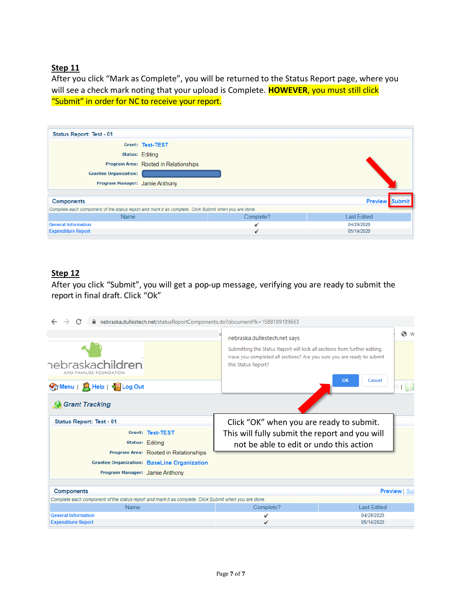After you click "Mark as Complete", you will be returned to the Status Report page, where you will see a check mark noting that your upload is Complete. **HOWEVER**, you must still click "Submit" in order for NC to receive your report.

| <b>Status Report: Test - 01</b>                                                                       |                                       |           |                       |
|-------------------------------------------------------------------------------------------------------|---------------------------------------|-----------|-----------------------|
|                                                                                                       | Grant: Test-TEST                      |           |                       |
|                                                                                                       | <b>Status: Editing</b>                |           |                       |
|                                                                                                       | Program Area: Rooted in Relationships |           |                       |
| <b>Grantee Organization:</b>                                                                          |                                       |           |                       |
| Program Manager: Jamie Anthony                                                                        |                                       |           |                       |
|                                                                                                       |                                       |           |                       |
| <b>Components</b>                                                                                     |                                       |           | <b>Preview Submit</b> |
| Complete each component of the status report and mark it as complete. Click Submit when you are done. |                                       |           |                       |
| <b>Name</b>                                                                                           |                                       | Complete? | <b>Last Edited</b>    |
| <b>General Information</b>                                                                            |                                       |           | 04/29/2020            |
| <b>Expenditure Report</b>                                                                             |                                       | ✔         | 05/14/2020            |

### **Step 12**

After you click "Submit", you will get a pop-up message, verifying you are ready to submit the report in final draft. Click "Ok"

| C                                                                                                                                         |  | nebraska.dullestech.net/statusReportComponents.do?documentPk=1588189189663                                                                                                                                |                                      |  |  |  |
|-------------------------------------------------------------------------------------------------------------------------------------------|--|-----------------------------------------------------------------------------------------------------------------------------------------------------------------------------------------------------------|--------------------------------------|--|--|--|
| nebraskachildren<br>AND FAMILIES FOUNDATION<br>Menu   A Help   C Log Out                                                                  |  | nebraska.dullestech.net says<br>Submitting the Status Report will lock all sections from further editing.<br>Have you completed all sections? Are you sure you are ready to submit<br>this Status Report? | ΘW<br>OK<br>Cancel<br>it $\ \cdot\ $ |  |  |  |
| <b>Grant Tracking</b><br>M<br><b>Status Report: Test - 01</b>                                                                             |  | Click "OK" when you are ready to submit.                                                                                                                                                                  |                                      |  |  |  |
| Grant: Test-TEST<br><b>Status: Editing</b><br>Program Area: Rooted in Relationships<br><b>Grantee Organization: BaseLine Organization</b> |  | This will fully submit the report and you will<br>not be able to edit or undo this action                                                                                                                 |                                      |  |  |  |
| Program Manager: Jamie Anthony                                                                                                            |  |                                                                                                                                                                                                           |                                      |  |  |  |
| <b>Components</b>                                                                                                                         |  |                                                                                                                                                                                                           | <b>Preview   Sul</b>                 |  |  |  |
| Complete each component of the status report and mark it as complete. Click Submit when you are done.                                     |  |                                                                                                                                                                                                           |                                      |  |  |  |
| Name                                                                                                                                      |  | Complete?                                                                                                                                                                                                 | <b>Last Edited</b>                   |  |  |  |
| <b>General Information</b>                                                                                                                |  |                                                                                                                                                                                                           | 04/29/2020                           |  |  |  |
| <b>Expenditure Report</b>                                                                                                                 |  |                                                                                                                                                                                                           | 05/14/2020                           |  |  |  |